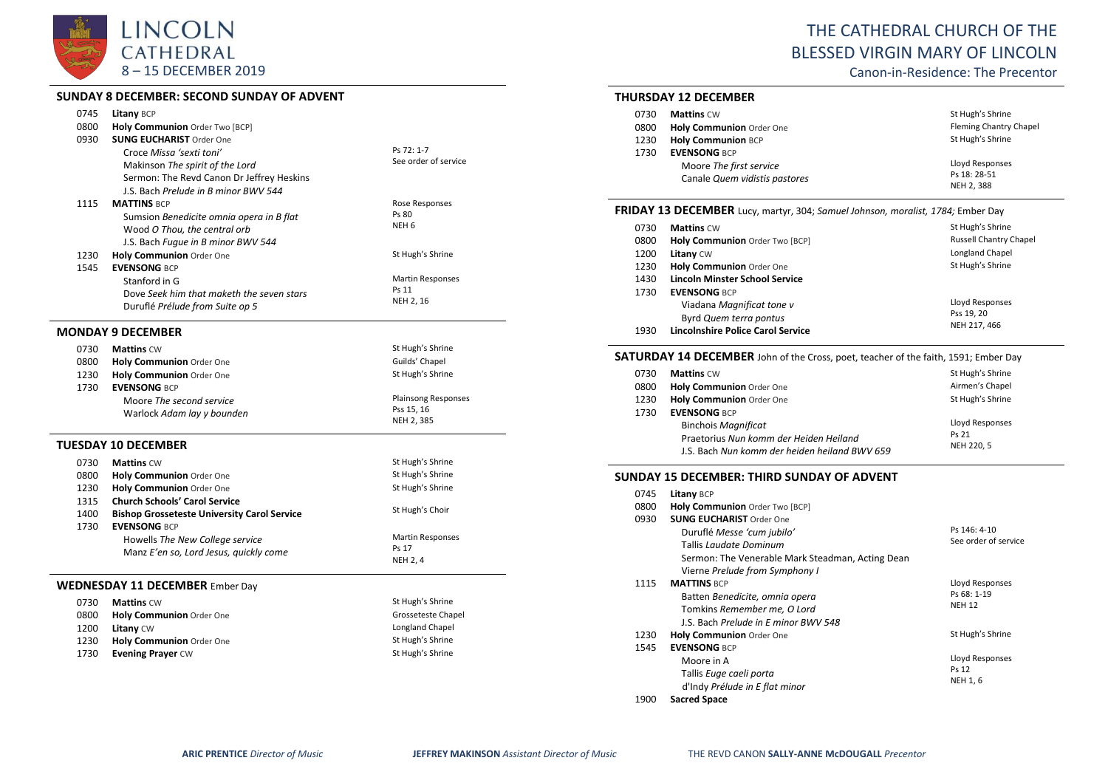

### **SUNDAY 8 DECEMBER: SECOND SUNDAY OF ADVENT**

| 0745 | Litany BCP                                         |                                    |
|------|----------------------------------------------------|------------------------------------|
| 0800 | Holy Communion Order Two [BCP]                     |                                    |
| 0930 | <b>SUNG EUCHARIST Order One</b>                    |                                    |
|      | Croce Missa 'sexti toni'                           | Ps 72: 1-7<br>See order of service |
|      | Makinson The spirit of the Lord                    |                                    |
|      | Sermon: The Revd Canon Dr Jeffrey Heskins          |                                    |
|      | J.S. Bach Prelude in B minor BWV 544               |                                    |
| 1115 | <b>MATTINS BCP</b>                                 | Rose Responses                     |
|      | Sumsion Benedicite omnia opera in B flat           | Ps 80<br>NEH <sub>6</sub>          |
|      | Wood O Thou, the central orb                       |                                    |
|      | J.S. Bach Fugue in B minor BWV 544                 |                                    |
| 1230 | Holy Communion Order One                           | St Hugh's Shrine                   |
| 1545 | <b>EVENSONG BCP</b>                                |                                    |
|      | Stanford in G                                      | <b>Martin Responses</b><br>Ps 11   |
|      | Dove Seek him that maketh the seven stars          | NEH 2, 16                          |
|      | Duruflé Prélude from Suite op 5                    |                                    |
|      | <b>MONDAY 9 DECEMBER</b>                           |                                    |
| 0730 | <b>Mattins CW</b>                                  | St Hugh's Shrine                   |
| 0800 | Holy Communion Order One                           | Guilds' Chapel                     |
| 1230 | Holy Communion Order One                           | St Hugh's Shrine                   |
| 1730 | <b>EVENSONG BCP</b>                                |                                    |
|      | Moore The second service                           | Plainsong Responses                |
|      | Warlock Adam lay y bounden                         | Pss 15, 16                         |
|      |                                                    | NEH 2, 385                         |
|      | TUESDAY 10 DECEMBER                                |                                    |
| 0730 | <b>Mattins CW</b>                                  | St Hugh's Shrine                   |
| 0800 | Holy Communion Order One                           | St Hugh's Shrine                   |
| 1230 | Holy Communion Order One                           | St Hugh's Shrine                   |
| 1315 | <b>Church Schools' Carol Service</b>               |                                    |
| 1400 | <b>Bishop Grosseteste University Carol Service</b> | St Hugh's Choir                    |
| 1730 | <b>EVENSONG BCP</b>                                |                                    |
|      | Howells The New College service                    | <b>Martin Responses</b>            |
|      | Manz E'en so, Lord Jesus, quickly come             | Ps 17                              |
|      |                                                    | NEH 2, 4                           |
|      | <b>WEDNESDAY 11 DECEMBER Ember Day</b>             |                                    |
| 0730 | <b>Mattins CW</b>                                  | St Hugh's Shrine                   |
| 0800 | Holy Communion Order One                           | Grosseteste Chapel                 |
| 1200 | Litany CW                                          | Longland Chapel                    |
| 1230 | Holy Communion Order One                           | St Hugh's Shrine                   |
| 1730 | <b>Evening Prayer CW</b>                           | St Hugh's Shrine                   |
|      |                                                    |                                    |

# THE CATHEDRAL CHURCH OF THE BLESSED VIRGIN MARY OF LINCOLN

Canon-in-Residence: The Precentor

# **THURSDAY 12 DECEMBER**

| 0730 | <b>Mattins CW</b>             | St Hugh's Shrine       |
|------|-------------------------------|------------------------|
| 0800 | Holy Communion Order One      | Fleming Chantry Chapel |
| 1230 | <b>Holy Communion BCP</b>     | St Hugh's Shrine       |
| 1730 | <b>EVENSONG BCP</b>           |                        |
|      | Moore The first service       | Lloyd Responses        |
|      | Canale Quem vidistis pastores | Ps 18: 28-51           |
|      |                               | NEH 2, 388             |

# **FRIDAY 13 DECEMBER** Lucy, martyr, 304; *Samuel Johnson, moralist, 1784;* Ember Day

| 0730 | <b>Mattins CW</b>                 | St Hugh's Shrine              |
|------|-----------------------------------|-------------------------------|
| 0800 | Holy Communion Order Two [BCP]    | <b>Russell Chantry Chapel</b> |
| 1200 | <b>Litany CW</b>                  | Longland Chapel               |
| 1230 | Holy Communion Order One          | St Hugh's Shrine              |
| 1430 | Lincoln Minster School Service    |                               |
| 1730 | <b>EVENSONG BCP</b>               |                               |
|      | Viadana Magnificat tone v         | Lloyd Responses               |
|      | Byrd Quem terra pontus            | Pss 19, 20                    |
| 1930 | Lincolnshire Police Carol Service | NEH 217, 466                  |

# **SATURDAY 14 DECEMBER** John of the Cross, poet, teacher of the faith, 1591; Ember Day

| 0730 | <b>Mattins CW</b>                             | St Hugh's Shrine |
|------|-----------------------------------------------|------------------|
| 0800 | Holy Communion Order One                      | Airmen's Chapel  |
| 1230 | Holy Communion Order One                      | St Hugh's Shrine |
| 1730 | <b>EVENSONG BCP</b>                           |                  |
|      | <b>Binchois Magnificat</b>                    | Lloyd Responses  |
|      | Praetorius Nun komm der Heiden Heiland        | Ps 21            |
|      | J.S. Bach Nun komm der heiden heiland BWV 659 | NEH 220, 5       |

# **SUNDAY 15 DECEMBER: THIRD SUNDAY OF ADVENT**

| 0745 | <b>Litany BCP</b>                                |                      |
|------|--------------------------------------------------|----------------------|
| 0800 | Holy Communion Order Two [BCP]                   |                      |
| 0930 | <b>SUNG EUCHARIST Order One</b>                  |                      |
|      | Duruflé Messe 'cum jubilo'                       | Ps 146: 4-10         |
|      | Tallis <i>Loudote Dominum</i>                    | See order of service |
|      | Sermon: The Venerable Mark Steadman, Acting Dean |                      |
|      | Vierne Prelude from Symphony I                   |                      |
| 1115 | <b>MATTINS BCP</b>                               | Lloyd Responses      |
|      | Batten Benedicite, omnia opera                   | Ps 68: 1-19          |
|      | Tomkins Remember me, O Lord                      | <b>NEH 12</b>        |
|      | J.S. Bach Prelude in E minor BWV 548             |                      |
| 1230 | <b>Holy Communion</b> Order One                  | St Hugh's Shrine     |
| 1545 | <b>EVENSONG BCP</b>                              |                      |
|      | Moore in A                                       | Lloyd Responses      |
|      | Tallis Euge caeli porta                          | Ps 12                |
|      | d'Indy Prélude in E flat minor                   | <b>NEH 1, 6</b>      |
| 1900 | <b>Sacred Space</b>                              |                      |